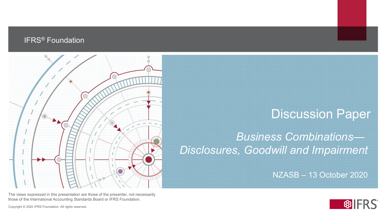#### IFRS® Foundation



#### **Discussion Paper**

#### *Business Combinations— Disclosures, Goodwill and Impairment*

NZASB – 13 October 2020



The views expressed in this presentation are those of the presenter, not necessarily those of the International Accounting Standards Board or IFRS Foundation.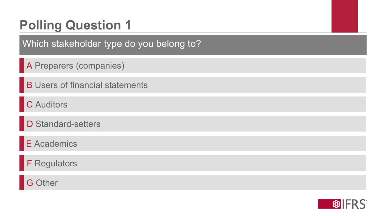Which stakeholder type do you belong to?

A Preparers (companies)

**B Users of financial statements** 

C Auditors

D Standard-setters

E Academics

F Regulators

G Other

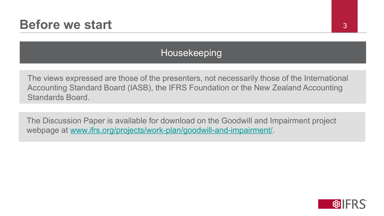#### Housekeeping

The views expressed are those of the presenters, not necessarily those of the International Accounting Standard Board (IASB), the IFRS Foundation or the New Zealand Accounting Standards Board.

The Discussion Paper is available for download on the Goodwill and Impairment project webpage at [www.ifrs.org/projects/work-plan/goodwill-and-impairment/.](http://www.ifrs.org/projects/work-plan/goodwill-and-impairment/)

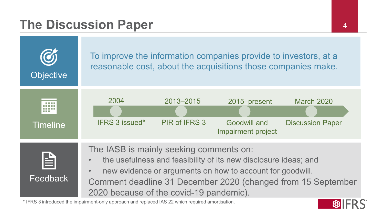#### **The Discussion Paper** 44



\* IFRS 3 introduced the impairment-only approach and replaced IAS 22 which required amortisation.

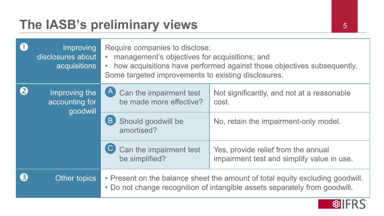### The IASB's preliminary views 5

|  | Improving<br>disclosures about<br>acquisitions | Require companies to disclose:<br>management's objectives for acquisitions; and<br>how acquisitions have performed against those objectives subsequently.<br>Some targeted improvements to existing disclosures. |                                                                                              |  |  |
|--|------------------------------------------------|------------------------------------------------------------------------------------------------------------------------------------------------------------------------------------------------------------------|----------------------------------------------------------------------------------------------|--|--|
|  | Improving the<br>accounting for<br>goodwill    | [A]<br>Can the impairment test<br>be made more effective?<br>$\overline{B}$<br>Should goodwill be                                                                                                                | Not significantly, and not at a reasonable<br>cost.<br>No, retain the impairment-only model. |  |  |
|  |                                                | amortised?                                                                                                                                                                                                       |                                                                                              |  |  |
|  |                                                | Can the impairment test<br>be simplified?                                                                                                                                                                        | Yes, provide relief from the annual<br>impairment test and simplify value in use.            |  |  |
|  | Other topics                                   | • Present on the balance sheet the amount of total equity excluding goodwill.<br>• Do not change recognition of intangible assets separately from goodwill.                                                      |                                                                                              |  |  |

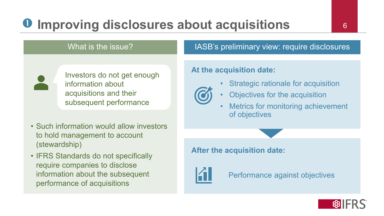## **Improving disclosures about acquisitions**

#### What is the issue?



Investors do not get enough information about acquisitions and their subsequent performance

- Such information would allow investors to hold management to account (stewardship)
- IFRS Standards do not specifically require companies to disclose information about the subsequent performance of acquisitions

#### IASB's preliminary view: require disclosures

#### **At the acquisition date:**



- Strategic rationale for acquisition
- Objectives for the acquisition
- Metrics for monitoring achievement of objectives

**After the acquisition date:**



Performance against objectives

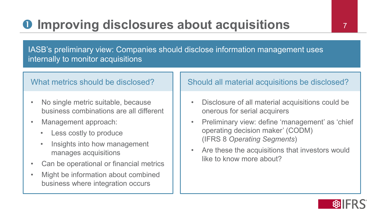## **O** Improving disclosures about acquisitions

IASB's preliminary view: Companies should disclose information management uses internally to monitor acquisitions

#### What metrics should be disclosed?

- No single metric suitable, because business combinations are all different
- Management approach:
	- Less costly to produce
	- Insights into how management manages acquisitions
- Can be operational or financial metrics
- Might be information about combined business where integration occurs

#### Should all material acquisitions be disclosed?

- Disclosure of all material acquisitions could be onerous for serial acquirers
- Preliminary view: define 'management' as 'chief operating decision maker' (CODM) (IFRS 8 *Operating Segments*)
- Are these the acquisitions that investors would like to know more about?

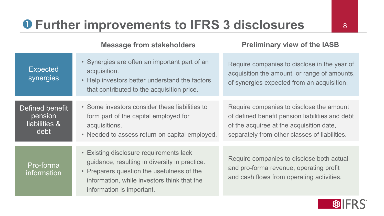### **Further improvements to IFRS 3 disclosures**

|                                                     | <b>INGSSAYE ITUIT SLANGITUIGES</b>                                                                                                                                                                                 | <b>FIGILITION VIGW OF LIG IAOD</b>                                                                                                                                                       |
|-----------------------------------------------------|--------------------------------------------------------------------------------------------------------------------------------------------------------------------------------------------------------------------|------------------------------------------------------------------------------------------------------------------------------------------------------------------------------------------|
| <b>Expected</b><br>synergies                        | • Synergies are often an important part of an<br>acquisition.<br>• Help investors better understand the factors<br>that contributed to the acquisition price.                                                      | Require companies to disclose in the year of<br>acquisition the amount, or range of amounts,<br>of synergies expected from an acquisition.                                               |
| Defined benefit<br>pension<br>liabilities &<br>debt | • Some investors consider these liabilities to<br>form part of the capital employed for<br>acquisitions.<br>• Needed to assess return on capital employed.                                                         | Require companies to disclose the amount<br>of defined benefit pension liabilities and debt<br>of the acquiree at the acquisition date,<br>separately from other classes of liabilities. |
| Pro-forma<br>information                            | • Existing disclosure requirements lack<br>guidance, resulting in diversity in practice.<br>• Preparers question the usefulness of the<br>information, while investors think that the<br>information is important. | Require companies to disclose both actual<br>and pro-forma revenue, operating profit<br>and cash flows from operating activities.                                                        |

**Message from stakeholders Preliminary view of the IASB**

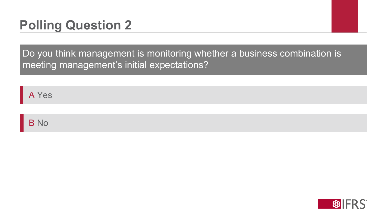Do you think management is monitoring whether a business combination is meeting management's initial expectations?

A Yes

B No

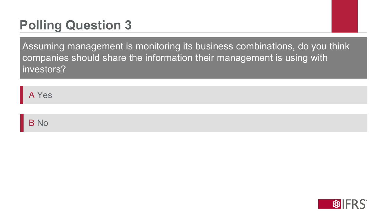Assuming management is monitoring its business combinations, do you think companies should share the information their management is using with investors?

A Yes

B No

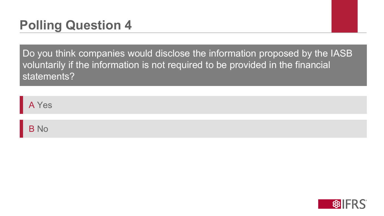Do you think companies would disclose the information proposed by the IASB voluntarily if the information is not required to be provided in the financial statements?

A Yes

B No

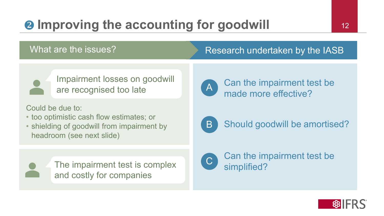# **2** Improving the accounting for goodwill 12

#### What are the issues? Research undertaken by the IASB



Impairment losses on goodwill are recognised too late

Could be due to:

- too optimistic cash flow estimates; or
- shielding of goodwill from impairment by headroom (see next slide)



The impairment test is complex and costly for companies



Can the impairment test be made more effective?



Should goodwill be amortised?



Can the impairment test be simplified?

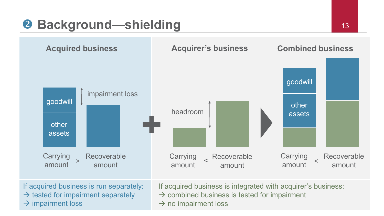### **Background—shielding** 13



If acquired business is run separately:  $\rightarrow$  tested for impairment separately  $\rightarrow$  impairment loss

If acquired business is integrated with acquirer's business:

- $\rightarrow$  combined business is tested for impairment
- $\rightarrow$  no impairment loss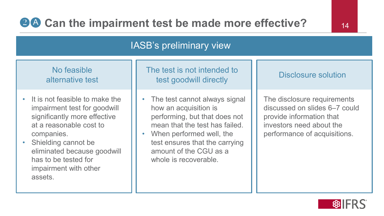#### IASB's preliminary view

#### No feasible alternative test

- It is not feasible to make the impairment test for goodwill significantly more effective at a reasonable cost to companies.
- Shielding cannot be eliminated because goodwill has to be tested for impairment with other assets.

Disclosure solution The test is not intended to test goodwill directly

The test cannot always signal how an acquisition is performing, but that does not mean that the test has failed.

When performed well, the test ensures that the carrying amount of the CGU as a whole is recoverable.

The disclosure requirements discussed on slides 6–7 could provide information that investors need about the performance of acquisitions.

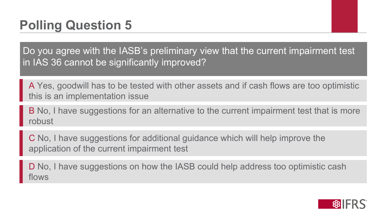Do you agree with the IASB's preliminary view that the current impairment test in IAS 36 cannot be significantly improved?

A Yes, goodwill has to be tested with other assets and if cash flows are too optimistic this is an implementation issue

B No, I have suggestions for an alternative to the current impairment test that is more robust

C No, I have suggestions for additional guidance which will help improve the application of the current impairment test

D No, I have suggestions on how the IASB could help address too optimistic cash flows

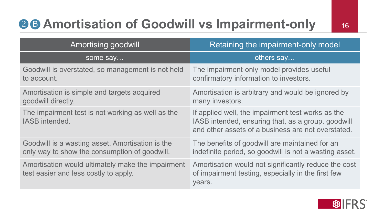## **28 Amortisation of Goodwill vs Impairment-only** 16

| <b>Amortising goodwill</b>                                                                        | Retaining the impairment-only model                                                                                                                           |  |  |
|---------------------------------------------------------------------------------------------------|---------------------------------------------------------------------------------------------------------------------------------------------------------------|--|--|
| some say                                                                                          | others say                                                                                                                                                    |  |  |
| Goodwill is overstated, so management is not held<br>to account.                                  | The impairment-only model provides useful<br>confirmatory information to investors.                                                                           |  |  |
| Amortisation is simple and targets acquired<br>goodwill directly.                                 | Amortisation is arbitrary and would be ignored by<br>many investors.                                                                                          |  |  |
| The impairment test is not working as well as the<br>IASB intended.                               | If applied well, the impairment test works as the<br>IASB intended, ensuring that, as a group, goodwill<br>and other assets of a business are not overstated. |  |  |
| Goodwill is a wasting asset. Amortisation is the<br>only way to show the consumption of goodwill. | The benefits of goodwill are maintained for an<br>indefinite period, so goodwill is not a wasting asset.                                                      |  |  |
| Amortisation would ultimately make the impairment<br>test easier and less costly to apply.        | Amortisation would not significantly reduce the cost<br>of impairment testing, especially in the first few<br>years.                                          |  |  |

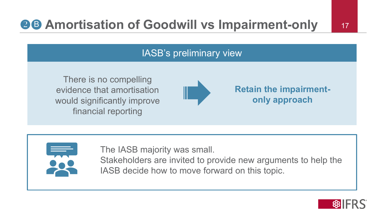### **BB Amortisation of Goodwill vs Impairment-only** 17

#### IASB's preliminary view

There is no compelling evidence that amortisation would significantly improve financial reporting



**Retain the impairmentonly approach**



The IASB majority was small.

Stakeholders are invited to provide new arguments to help the IASB decide how to move forward on this topic.

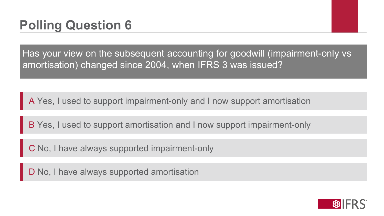Has your view on the subsequent accounting for goodwill (impairment-only vs amortisation) changed since 2004, when IFRS 3 was issued?

A Yes, I used to support impairment-only and I now support amortisation

B Yes, I used to support amortisation and I now support impairment-only

C No, I have always supported impairment-only

D No, I have always supported amortisation

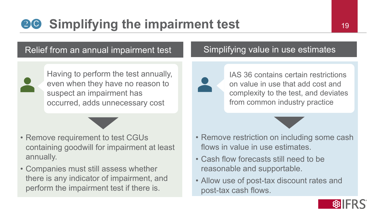### **80** Simplifying the impairment test 19

#### Relief from an annual impairment test



Having to perform the test annually, even when they have no reason to suspect an impairment has occurred, adds unnecessary cost

- Remove requirement to test CGUs containing goodwill for impairment at least annually.
- Companies must still assess whether there is any indicator of impairment, and perform the impairment test if there is.

#### Simplifying value in use estimates



IAS 36 contains certain restrictions on value in use that add cost and complexity to the test, and deviates from common industry practice

- Remove restriction on including some cash flows in value in use estimates.
- Cash flow forecasts still need to be reasonable and supportable.
- Allow use of post-tax discount rates and post-tax cash flows.

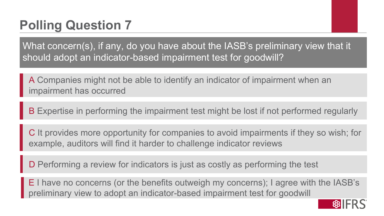What concern(s), if any, do you have about the IASB's preliminary view that it should adopt an indicator-based impairment test for goodwill?

A Companies might not be able to identify an indicator of impairment when an impairment has occurred

B Expertise in performing the impairment test might be lost if not performed regularly

C It provides more opportunity for companies to avoid impairments if they so wish; for example, auditors will find it harder to challenge indicator reviews

D Performing a review for indicators is just as costly as performing the test

E I have no concerns (or the benefits outweigh my concerns); I agree with the IASB's preliminary view to adopt an indicator-based impairment test for goodwill

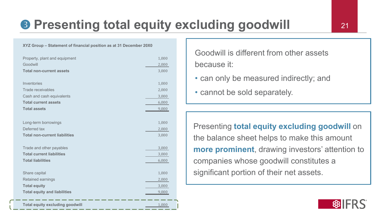### **B Presenting total equity excluding goodwill 21** 21

#### **XYZ Group – Statement of financial position as at 31 December 20X0**

| Property, plant and equipment          | 1,000 |
|----------------------------------------|-------|
| Goodwill                               | 2,000 |
| <b>Total non-current assets</b>        | 3,000 |
|                                        |       |
| Inventories                            | 1,000 |
| <b>Trade receivables</b>               | 2,000 |
| Cash and cash equivalents              | 3,000 |
| <b>Total current assets</b>            | 6,000 |
| <b>Total assets</b>                    | 9,000 |
|                                        |       |
| Long-term borrowings                   | 1,000 |
| Deferred tax                           | 2,000 |
| <b>Total non-current liabilities</b>   | 3,000 |
|                                        |       |
| Trade and other payables               | 3,000 |
| <b>Total current liabilities</b>       | 3,000 |
| <b>Total liabilities</b>               | 6,000 |
|                                        |       |
| Share capital                          | 1,000 |
| Retained earnings                      | 2,000 |
| <b>Total equity</b>                    | 3,000 |
| <b>Total equity and liabilities</b>    | 9,000 |
|                                        |       |
| <b>Total equity excluding goodwill</b> | 1,000 |

Goodwill is different from other assets because it:

- can only be measured indirectly; and
- cannot be sold separately.

Presenting **total equity excluding goodwill** on the balance sheet helps to make this amount **more prominent**, drawing investors' attention to companies whose goodwill constitutes a significant portion of their net assets.

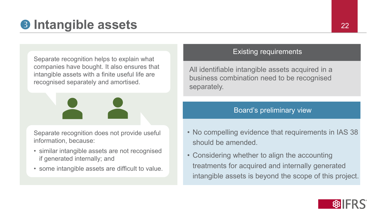### **8 Intangible assets**

Separate recognition helps to explain what companies have bought. It also ensures that intangible assets with a finite useful life are recognised separately and amortised.

Separate recognition does not provide useful information, because:

- similar intangible assets are not recognised if generated internally; and
- some intangible assets are difficult to value.

#### Existing requirements

All identifiable intangible assets acquired in a business combination need to be recognised separately.

#### Board's preliminary view

- No compelling evidence that requirements in IAS 38 should be amended.
- Considering whether to align the accounting treatments for acquired and internally generated intangible assets is beyond the scope of this project.

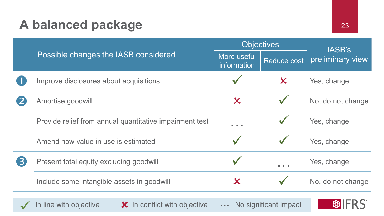### A balanced package 23

|                                                         | <b>Objectives</b>   |                     | IASB's            |  |
|---------------------------------------------------------|---------------------|---------------------|-------------------|--|
| Possible changes the IASB considered                    |                     | <b>Reduce cost</b>  | preliminary view  |  |
| Improve disclosures about acquisitions                  |                     | $\boldsymbol{\chi}$ | Yes, change       |  |
| Amortise goodwill                                       | $\boldsymbol{\chi}$ |                     | No, do not change |  |
| Provide relief from annual quantitative impairment test | .                   |                     | Yes, change       |  |
| Amend how value in use is estimated                     |                     |                     | Yes, change       |  |
| Present total equity excluding goodwill                 |                     |                     | Yes, change       |  |
| Include some intangible assets in goodwill              | X                   |                     | No, do not change |  |
|                                                         |                     |                     |                   |  |

In line with objective **X** In conflict with objective **1.1.** No significant impact